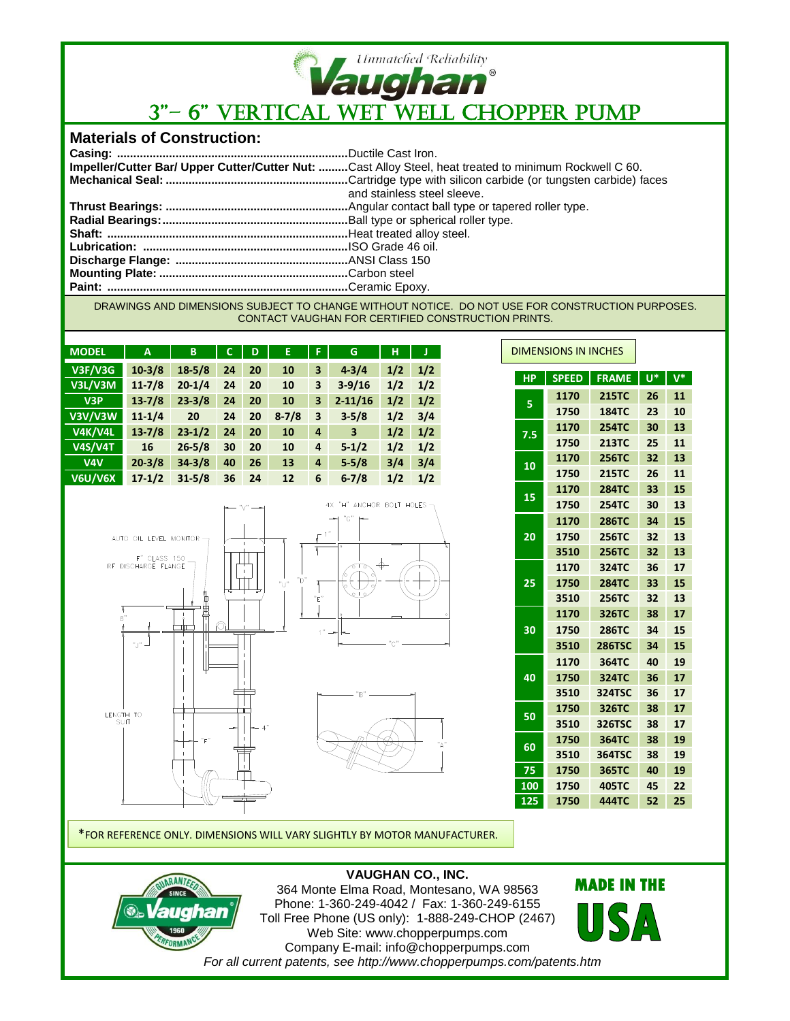

# 3"– 6" VERTICAL WET WELL CHOPPER PUMP

### **Materials of Construction:**

| Impeller/Cutter Bar/ Upper Cutter/Cutter Nut: Cast Alloy Steel, heat treated to minimum Rockwell C 60. |
|--------------------------------------------------------------------------------------------------------|
|                                                                                                        |
| and stainless steel sleeve.                                                                            |
|                                                                                                        |
|                                                                                                        |
|                                                                                                        |
|                                                                                                        |
|                                                                                                        |
|                                                                                                        |
|                                                                                                        |

DRAWINGS AND DIMENSIONS SUBJECT TO CHANGE WITHOUT NOTICE. DO NOT USE FOR CONSTRUCTION PURPOSES. CONTACT VAUGHAN FOR CERTIFIED CONSTRUCTION PRINTS.

| <b>MODEL</b>     | A          | B          | C  | D  | E.        | F | G           | н   |     |
|------------------|------------|------------|----|----|-----------|---|-------------|-----|-----|
| <b>V3F/V3G</b>   | $10-3/8$   | $18 - 5/8$ | 24 | 20 | 10        | 3 | $4 - 3/4$   | 1/2 | 1/2 |
| V3L/V3M          | $11 - 7/8$ | $20 - 1/4$ | 24 | 20 | 10        | 3 | $3 - 9/16$  | 1/2 | 1/2 |
| V <sub>3</sub> P | $13 - 7/8$ | $23 - 3/8$ | 24 | 20 | 10        | 3 | $2 - 11/16$ | 1/2 | 1/2 |
| V3V/V3W          | $11 - 1/4$ | 20         | 24 | 20 | $8 - 7/8$ | 3 | $3 - 5/8$   | 1/2 | 3/4 |
| <b>V4K/V4L</b>   | $13 - 7/8$ | $23 - 1/2$ | 24 | 20 | 10        | 4 | 3           | 1/2 | 1/2 |
| <b>V4S/V4T</b>   | 16         | $26 - 5/8$ | 30 | 20 | 10        | 4 | $5 - 1/2$   | 1/2 | 1/2 |
| V4V              | $20 - 3/8$ | $34 - 3/8$ | 40 | 26 | 13        | 4 | $5 - 5/8$   | 3/4 | 3/4 |
| <b>V6U/V6X</b>   | $17 - 1/2$ | $31 - 5/8$ | 36 | 24 | 12        | 6 | $6 - 7/8$   | 1/2 | 1/2 |



|  | <b>DIMENSIONS IN INCHES</b> |              |               |    |       |
|--|-----------------------------|--------------|---------------|----|-------|
|  | <b>HP</b>                   | <b>SPEED</b> | <b>FRAME</b>  | U* | $V^*$ |
|  |                             | 1170         | <b>215TC</b>  | 26 | 11    |
|  | 5                           | 1750         | <b>184TC</b>  | 23 | 10    |
|  | 7.5                         | 1170         | <b>254TC</b>  | 30 | 13    |
|  |                             | 1750         | <b>213TC</b>  | 25 | 11    |
|  | 10                          | 1170         | <b>256TC</b>  | 32 | 13    |
|  |                             | 1750         | <b>215TC</b>  | 26 | 11    |
|  | 15                          | 1170         | <b>284TC</b>  | 33 | 15    |
|  |                             | 1750         | <b>254TC</b>  | 30 | 13    |
|  | 20                          | 1170         | <b>286TC</b>  | 34 | 15    |
|  |                             | 1750         | <b>256TC</b>  | 32 | 13    |
|  |                             | 3510         | <b>256TC</b>  | 32 | 13    |
|  |                             | 1170         | 324TC         | 36 | 17    |
|  | 25                          | 1750         | <b>284TC</b>  | 33 | 15    |
|  |                             | 3510         | <b>256TC</b>  | 32 | 13    |
|  | 30                          | 1170         | 326TC         | 38 | 17    |
|  |                             | 1750         | <b>286TC</b>  | 34 | 15    |
|  |                             | 3510         | <b>286TSC</b> | 34 | 15    |
|  |                             | 1170         | 364TC         | 40 | 19    |
|  | 40                          | 1750         | 324TC         | 36 | 17    |
|  |                             | 3510         | <b>324TSC</b> | 36 | 17    |
|  | 50                          | 1750         | 326TC         | 38 | 17    |
|  |                             | 3510         | 326TSC        | 38 | 17    |
|  | 60                          | 1750         | 364TC         | 38 | 19    |
|  |                             | 3510         | <b>364TSC</b> | 38 | 19    |
|  | 75                          | 1750         | 365TC         | 40 | 19    |
|  | 100                         | 1750         | 405TC         | 45 | 22    |
|  | 125                         | 1750         | <b>444TC</b>  | 52 | 25    |

\*FOR REFERENCE ONLY. DIMENSIONS WILL VARY SLIGHTLY BY MOTOR MANUFACTURER.

#### **VAUGHAN CO., INC.**



364 Monte Elma Road, Montesano, WA 98563 Phone: 1-360-249-4042 / Fax: 1-360-249-6155 Toll Free Phone (US only): 1-888-249-CHOP (2467) Web Site: www.chopperpumps.com Company E-mail: info@chopperpumps.com *For all current patents, see http://www.chopperpumps.com/patents.htm*